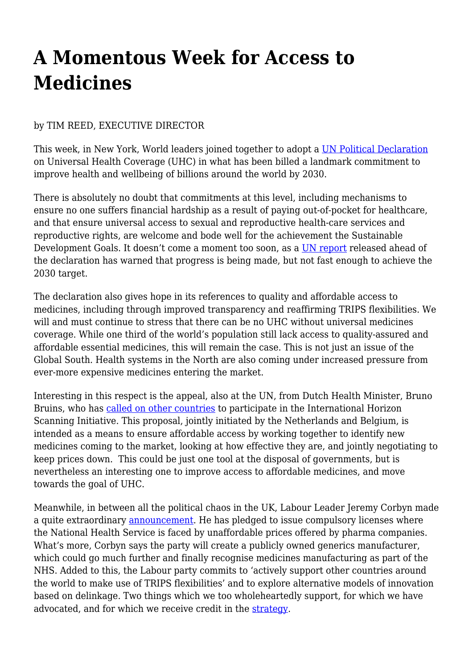## **A Momentous Week for Access to Medicines**

## by TIM REED, EXECUTIVE DIRECTOR

This week, in New York, World leaders joined together to adopt a [UN Political Declaration](https://www.un.org/pga/73/wp-content/uploads/sites/53/2019/09/UHC-HLM-silence-procedure.pdf) on Universal Health Coverage (UHC) in what has been billed a landmark commitment to improve health and wellbeing of billions around the world by 2030.

There is absolutely no doubt that commitments at this level, including mechanisms to ensure no one suffers financial hardship as a result of paying out-of-pocket for healthcare, and that ensure universal access to sexual and reproductive health-care services and reproductive rights, are welcome and bode well for the achievement the Sustainable Development Goals. It doesn't come a moment too soon, as a [UN report](https://www.healthpolicy-watch.org/wp-content/uploads/2019/09/Full-report.pdf) released ahead of the declaration has warned that progress is being made, but not fast enough to achieve the 2030 target.

The declaration also gives hope in its references to quality and affordable access to medicines, including through improved transparency and reaffirming TRIPS flexibilities. We will and must continue to stress that there can be no UHC without universal medicines coverage. While one third of the world's population still lack access to quality-assured and affordable essential medicines, this will remain the case. This is not just an issue of the Global South. Health systems in the North are also coming under increased pressure from ever-more expensive medicines entering the market.

Interesting in this respect is the appeal, also at the UN, from Dutch Health Minister, Bruno Bruins, who has [called on other countries](https://www.rijksoverheid.nl/actueel/nieuws/2019/09/23/oproep-bruins-aan-landen-tijdens-vn-top-strijd-mee-tegen-te-hoge-medicijnprijzen) to participate in the International Horizon Scanning Initiative. This proposal, jointly initiated by the Netherlands and Belgium, is intended as a means to ensure affordable access by working together to identify new medicines coming to the market, looking at how effective they are, and jointly negotiating to keep prices down. This could be just one tool at the disposal of governments, but is nevertheless an interesting one to improve access to affordable medicines, and move towards the goal of UHC.

Meanwhile, in between all the political chaos in the UK, Labour Leader Jeremy Corbyn made a quite extraordinary [announcement](http://labour.org.uk/wp-content/uploads/2019/09/Medicines-For-The-Many.pdf). He has pledged to issue compulsory licenses where the National Health Service is faced by unaffordable prices offered by pharma companies. What's more, Corbyn says the party will create a publicly owned generics manufacturer, which could go much further and finally recognise medicines manufacturing as part of the NHS. Added to this, the Labour party commits to 'actively support other countries around the world to make use of TRIPS flexibilities' and to explore alternative models of innovation based on delinkage. Two things which we too wholeheartedly support, for which we have advocated, and for which we receive credit in the [strategy.](http://labour.org.uk/wp-content/uploads/2019/09/Medicines-For-The-Many.pdf)